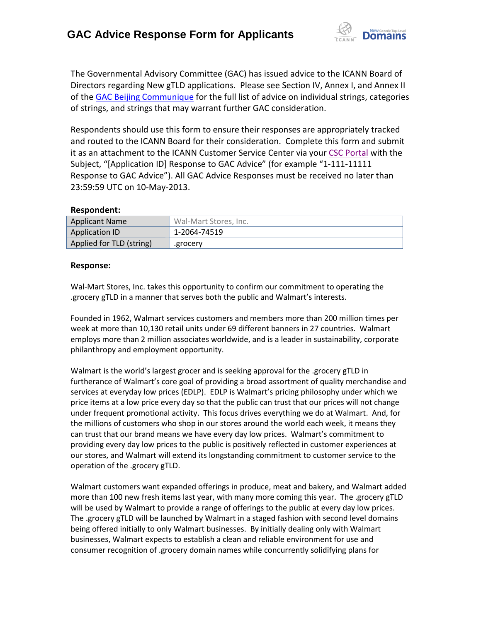

The Governmental Advisory Committee (GAC) has issued advice to the ICANN Board of Directors regarding New gTLD applications. Please see Section IV, Annex I, and Annex II of the GAC Beijing Communique for the full list of advice on individual strings, categories of strings, and strings that may warrant further GAC consideration.

Respondents should use this form to ensure their responses are appropriately tracked and routed to the ICANN Board for their consideration. Complete this form and submit it as an attachment to the ICANN Customer Service Center via your CSC Portal with the Subject, "[Application ID] Response to GAC Advice" (for example "1-111-11111 Response to GAC Advice"). All GAC Advice Responses must be received no later than 23:59:59 UTC on 10-May-2013.

## **Respondent:**

| <b>Applicant Name</b>    | Wal-Mart Stores, Inc. |
|--------------------------|-----------------------|
| <b>Application ID</b>    | 1-2064-74519          |
| Applied for TLD (string) | .grocery              |

## **Response:**

Wal-Mart Stores, Inc. takes this opportunity to confirm our commitment to operating the .grocery gTLD in a manner that serves both the public and Walmart's interests.

Founded in 1962, Walmart services customers and members more than 200 million times per week at more than 10,130 retail units under 69 different banners in 27 countries. Walmart employs more than 2 million associates worldwide, and is a leader in sustainability, corporate philanthropy and employment opportunity.

Walmart is the world's largest grocer and is seeking approval for the .grocery gTLD in furtherance of Walmart's core goal of providing a broad assortment of quality merchandise and services at everyday low prices (EDLP). EDLP is Walmart's pricing philosophy under which we price items at a low price every day so that the public can trust that our prices will not change under frequent promotional activity. This focus drives everything we do at Walmart. And, for the millions of customers who shop in our stores around the world each week, it means they can trust that our brand means we have every day low prices. Walmart's commitment to providing every day low prices to the public is positively reflected in customer experiences at our stores, and Walmart will extend its longstanding commitment to customer service to the operation of the .grocery gTLD.

Walmart customers want expanded offerings in produce, meat and bakery, and Walmart added more than 100 new fresh items last year, with many more coming this year. The .grocery gTLD will be used by Walmart to provide a range of offerings to the public at every day low prices. The .grocery gTLD will be launched by Walmart in a staged fashion with second level domains being offered initially to only Walmart businesses. By initially dealing only with Walmart businesses, Walmart expects to establish a clean and reliable environment for use and consumer recognition of .grocery domain names while concurrently solidifying plans for